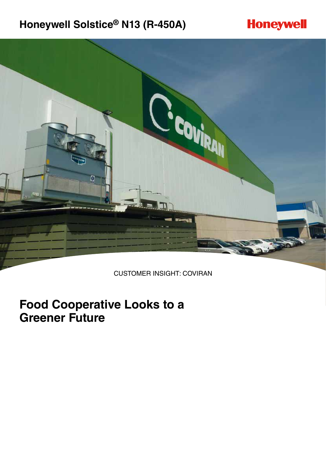# **Honeywell Solstice® N13 (R-450A)**





CUSTOMER INSIGHT: COVIRAN

# **Food Cooperative Looks to a Greener Future**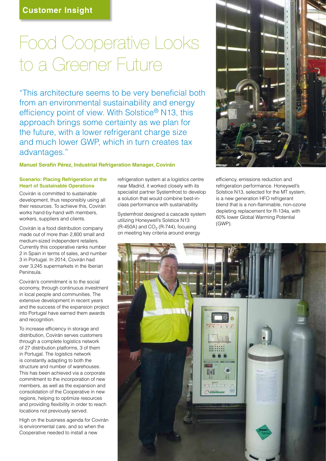# Food Cooperative Looks to a Greener Future

"This architecture seems to be very beneficial both from an environmental sustainability and energy efficiency point of view. With Solstice® N13, this approach brings some certainty as we plan for the future, with a lower refrigerant charge size and much lower GWP, which in turn creates tax advantages."

## **Manuel Serafín Pérez, Industrial Refrigeration Manager, Covirán**

## **Scenario: Placing Refrigeration at the Heart of Sustainable Operations**

Covirán is committed to sustainable development, thus responsibly using all their resources. To achieve this, Covirán works hand-by-hand with members, workers, suppliers and clients.

Covirán is a food distribution company made out of more than 2,800 small and medium-sized independent retailers. Currently this cooperative ranks number 2 in Spain in terms of sales, and number 3 in Portugal. In 2014, Covirán had over 3,245 supermarkets in the Iberian Peninsula.

Covirán's commitment is to the social economy, through continuous investment in local people and communities. The extensive development in recent years and the success of the expansion project into Portugal have earned them awards and recognition.

To increase efficiency in storage and distribution, Covirán serves customers through a complete logistics network of 27 distribution platforms, 3 of them in Portugal. The logistics network is constantly adapting to both the structure and number of warehouses. This has been achieved via a corporate commitment to the incorporation of new members, as well as the expansion and consolidation of the Cooperative in new regions, helping to optimize resources and providing flexibility in order to reach locations not previously served.

High on the business agenda for Covirán is environmental care, and so when the Cooperative needed to install a new

refrigeration system at a logistics centre near Madrid, it worked closely with its specialist partner Systemfrost to develop a solution that would combine best-inclass performance with sustainability.

Systemfrost designed a cascade system utilizing Honeywell's Solstice N13  $(R-450A)$  and  $CO<sub>2</sub>$  (R-744), focusing on meeting key criteria around energy



efficiency, emissions reduction and refrigeration performance. Honeywell's Solstice N13, selected for the MT system, is a new generation HFO refrigerant blend that is a non-flammable, non-ozone depleting replacement for R-134a, with 60% lower Global Warming Potential (GWP).

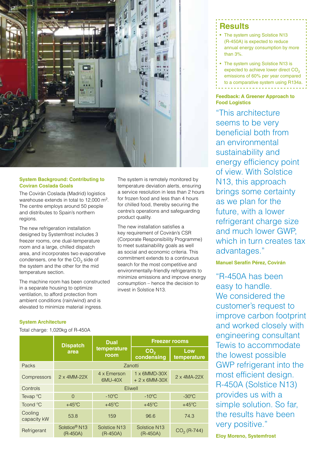

## **System Background: Contributing to Coviran Coslada Goals**

The Covirán Coslada (Madrid) logistics warehouse extends in total to 12,000 m2. The centre employs around 50 people and distributes to Spain's northern regions.

The new refrigeration installation designed by Systemfrost includes 3 freezer rooms, one dual-temperature room and a large, chilled dispatch area, and incorporates two evaporative condensers, one for the  $CO<sub>2</sub>$  side of the system and the other for the mid temperature section.

The machine room has been constructed in a separate housing to optimize ventilation, to afford protection from ambient conditions (rain/wind) and is elevated to minimize material ingress.

The system is remotely monitored by temperature deviation alerts, ensuring a service resolution in less than 2 hours for frozen food and less than 4 hours for chilled food, thereby securing the centre's operations and safeguarding product quality.

The new installation satisfies a key requirement of Covirán's CSR (Corporate Responsibility Programme) to meet sustainability goals as well as social and economic criteria. This commitment extends to a continuous search for the most competitive and environmentally-friendly refrigerants to minimize emissions and improve energy consumption – hence the decision to invest in Solstice N13.

## **Results**

- The system using Solstice N13 (R-450A) is expected to reduce annual energy consumption by more than 3%.
- The system using Solstice N13 is expected to achieve lower direct CO<sub>2</sub> emissions of 60% per year compared to a comparative system using R134a.

## **Feedback: A Greener Approach to Food Logistics**

"This architecture seems to be very beneficial both from an environmental sustainability and energy efficiency point of view. With Solstice N13, this approach brings some certainty as we plan for the future, with a lower refrigerant charge size and much lower GWP, which in turn creates tax advantages."

## **Manuel Serafín Pérez, Covirán**

"R-450A has been easy to handle. We considered the customer's request to improve carbon footprint and worked closely with engineering consultant Tewis to accommodate the lowest possible GWP refrigerant into the most efficient design. R-450A (Solstice N13) provides us with a simple solution. So far, the results have been very positive."

**Eloy Moreno, Systemfrost**

## **System Architecture**

Total charge: 1,020kg of R-450A

|                        | <b>Dispatch</b><br>area                 | <b>Dual</b><br>temperature<br>room     | <b>Freezer rooms</b>                         |                    |
|------------------------|-----------------------------------------|----------------------------------------|----------------------------------------------|--------------------|
|                        |                                         |                                        | CO <sub>2</sub><br>condensing                | Low<br>temperature |
| Packs                  | Zanotti                                 |                                        |                                              |                    |
| Compressors            | $2 \times 4$ MM-22X                     | 4 x Emerson<br>6MU-40X                 | $1 \times 6$ MMD-30X<br>$+2 \times 6$ MM-30X | 2 x 4MA-22X        |
| Controls               | Eliwell                                 |                                        |                                              |                    |
| Tevap $\mathrm{C}$     | $\Omega$                                | $-10^{\circ}$ C                        | $-10^{\circ}$ C                              | $-30^{\circ}$ C    |
| Tcond °C               | $+45^{\circ}$ C                         | $+45^{\circ}$ C                        | $+45^{\circ}$ C                              | $+45^{\circ}$ C    |
| Cooling<br>capacity kW | 53.8                                    | 159                                    | 96.6                                         | 74.3               |
| Refrigerant            | Solstice <sup>®</sup> N13<br>$(R-450A)$ | Solstice N <sub>13</sub><br>$(R-450A)$ | Solstice N <sub>13</sub><br>$(R-450A)$       | $CO2$ (R-744)      |